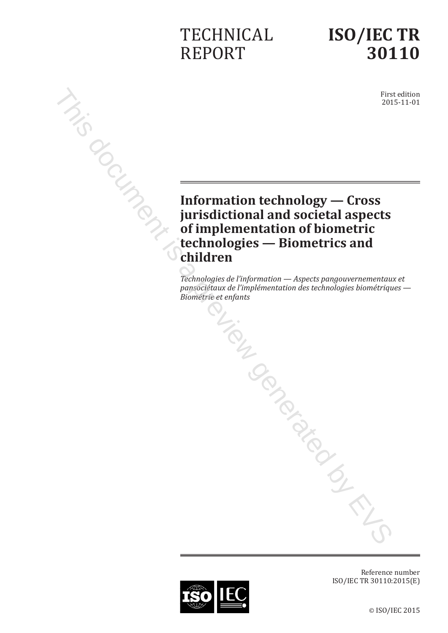# **TECHNICAL** REPORT

# **ISO/IEC TR 30110**

First edition 2015-11-01

# **Information technology — Cross**<br> **Information technology — Cross**<br> **Information technology — Cross**<br> **Information of biometric of biometric technologies — Biometrics and jurisdictional and societal aspects of implementation of biometric technologies — Biometrics and children**

*Technologies de l'information — Aspects pangouvernementaux et pansociétaux de l'implémentation des technologies biométriques — Biométrie et enfants* de ...<br> *x de l'n.*<br> *Alle de l'allem*ints<br>
Composition<br>
Composition<br>
Composition

Reference number ISO/IEC TR 30110:2015(E)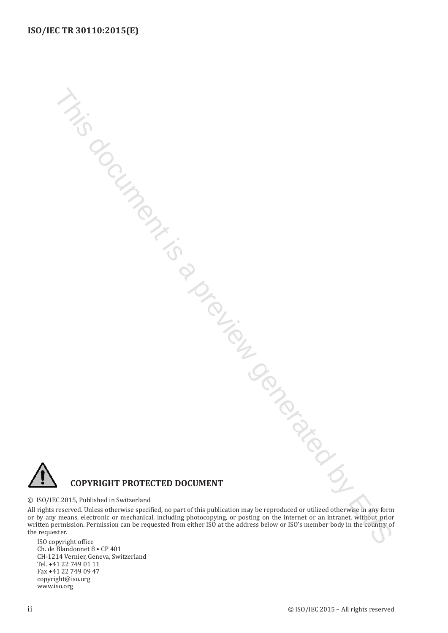

### © ISO/IEC 2015, Published in Switzerland

All rights reserved. Unless otherwise specified, no part of this publication may be reproduced or utilized otherwise in any form or by any means, electronic or mechanical, including photocopying, or posting on the internet or an intranet, without prior written permission. Permission can be requested from either ISO at the address below or ISO's member body in the country of the requester. This document is a preview generated by EVS

ISO copyright office Ch. de Blandonnet 8 • CP 401 CH-1214 Vernier, Geneva, Switzerland Tel. +41 22 749 01 11 Fax +41 22 749 09 47 copyright@iso.org www.iso.org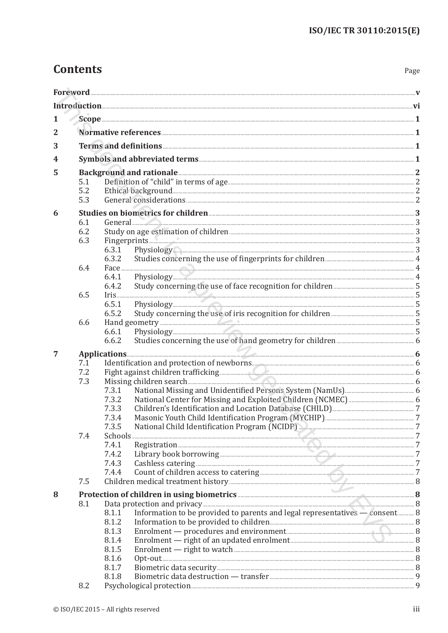| Introduction was a viewed and the contract of the contract of the contract of the contract of the contract of the contract of the contract of the contract of the contract of the contract of the contract of the contract of |                |                                                                                                                                                                                                                               |  |  |
|-------------------------------------------------------------------------------------------------------------------------------------------------------------------------------------------------------------------------------|----------------|-------------------------------------------------------------------------------------------------------------------------------------------------------------------------------------------------------------------------------|--|--|
| $\mathbf{1}$                                                                                                                                                                                                                  |                |                                                                                                                                                                                                                               |  |  |
| $\overline{2}$                                                                                                                                                                                                                |                |                                                                                                                                                                                                                               |  |  |
|                                                                                                                                                                                                                               |                |                                                                                                                                                                                                                               |  |  |
| 3                                                                                                                                                                                                                             |                |                                                                                                                                                                                                                               |  |  |
| 4                                                                                                                                                                                                                             |                |                                                                                                                                                                                                                               |  |  |
| 5                                                                                                                                                                                                                             |                | Background and rationale <b>Exercise Section</b> 2                                                                                                                                                                            |  |  |
|                                                                                                                                                                                                                               | 5.1<br>5.2     | Ethical background 2                                                                                                                                                                                                          |  |  |
|                                                                                                                                                                                                                               | 5.3            |                                                                                                                                                                                                                               |  |  |
| 6                                                                                                                                                                                                                             |                | Studies on biometrics for children <b>Exercise 2008</b> 3                                                                                                                                                                     |  |  |
|                                                                                                                                                                                                                               | 6.1            |                                                                                                                                                                                                                               |  |  |
|                                                                                                                                                                                                                               | 6.2            |                                                                                                                                                                                                                               |  |  |
|                                                                                                                                                                                                                               | 6.3            | Fingerprints 5 23                                                                                                                                                                                                             |  |  |
|                                                                                                                                                                                                                               |                | Physiology 3<br>6.3.1                                                                                                                                                                                                         |  |  |
|                                                                                                                                                                                                                               |                | 6.3.2                                                                                                                                                                                                                         |  |  |
|                                                                                                                                                                                                                               | 6.4            |                                                                                                                                                                                                                               |  |  |
|                                                                                                                                                                                                                               |                | 6.4.1                                                                                                                                                                                                                         |  |  |
|                                                                                                                                                                                                                               | 6.5            | 6.4.2                                                                                                                                                                                                                         |  |  |
|                                                                                                                                                                                                                               |                | 6.5.1                                                                                                                                                                                                                         |  |  |
|                                                                                                                                                                                                                               |                | 6.5.2                                                                                                                                                                                                                         |  |  |
|                                                                                                                                                                                                                               | 6.6            |                                                                                                                                                                                                                               |  |  |
|                                                                                                                                                                                                                               |                | 6.6.1                                                                                                                                                                                                                         |  |  |
|                                                                                                                                                                                                                               |                | 6.6.2                                                                                                                                                                                                                         |  |  |
| 7                                                                                                                                                                                                                             | Applications 6 |                                                                                                                                                                                                                               |  |  |
|                                                                                                                                                                                                                               | 7.1            |                                                                                                                                                                                                                               |  |  |
|                                                                                                                                                                                                                               | 7.2            |                                                                                                                                                                                                                               |  |  |
|                                                                                                                                                                                                                               | 7.3            |                                                                                                                                                                                                                               |  |  |
|                                                                                                                                                                                                                               |                | 7.3.1                                                                                                                                                                                                                         |  |  |
|                                                                                                                                                                                                                               |                | 7.3.2<br>7.3.3                                                                                                                                                                                                                |  |  |
|                                                                                                                                                                                                                               |                | 7.3.4                                                                                                                                                                                                                         |  |  |
|                                                                                                                                                                                                                               |                | National Child Identification Program (NCIDP)<br>7.3.5                                                                                                                                                                        |  |  |
|                                                                                                                                                                                                                               | 7.4            | Schools                                                                                                                                                                                                                       |  |  |
|                                                                                                                                                                                                                               |                | 7.4.1                                                                                                                                                                                                                         |  |  |
|                                                                                                                                                                                                                               |                | 7.4.2                                                                                                                                                                                                                         |  |  |
|                                                                                                                                                                                                                               |                | 7.4.3                                                                                                                                                                                                                         |  |  |
|                                                                                                                                                                                                                               |                | 7.4.4                                                                                                                                                                                                                         |  |  |
|                                                                                                                                                                                                                               | 7.5            | $\sqrt{2}$                                                                                                                                                                                                                    |  |  |
| 8                                                                                                                                                                                                                             |                | Protection of children in using biometrics 38 and 20 million and 38 and 38 and 38 and 38 and 38 and 38 and 38 and 38 and 38 and 38 and 38 and 38 and 38 and 38 and 38 and 38 and 38 and 38 and 38 and 38 and 38 and 38 and 38 |  |  |
|                                                                                                                                                                                                                               | 8.1            | Information to be provided to parents and legal representatives - consent 8                                                                                                                                                   |  |  |
|                                                                                                                                                                                                                               |                | 8.1.1<br>8.1.2                                                                                                                                                                                                                |  |  |
|                                                                                                                                                                                                                               |                | 8.1.3                                                                                                                                                                                                                         |  |  |
|                                                                                                                                                                                                                               |                | 8.1.4                                                                                                                                                                                                                         |  |  |
|                                                                                                                                                                                                                               |                | Enrolment — right to watch<br>8.1.5                                                                                                                                                                                           |  |  |
|                                                                                                                                                                                                                               |                | 8.1.6                                                                                                                                                                                                                         |  |  |
|                                                                                                                                                                                                                               |                | 8.1.7                                                                                                                                                                                                                         |  |  |
|                                                                                                                                                                                                                               |                | 8.1.8                                                                                                                                                                                                                         |  |  |
|                                                                                                                                                                                                                               | 8.2            |                                                                                                                                                                                                                               |  |  |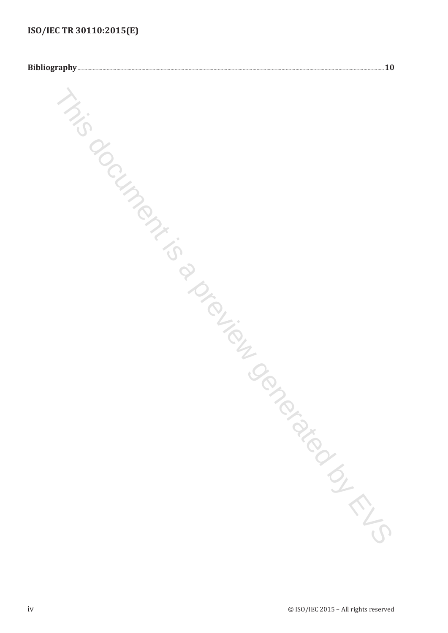# ISO/IEC TR 30110:2015(E) This document is a proteined by R. C.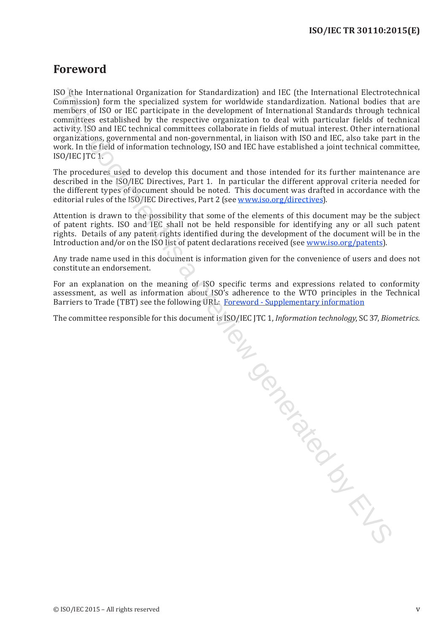### <span id="page-4-0"></span>**Foreword**

ISO (the International Organization for Standardization) and IEC (the International Electrotechnical Commission) form the specialized system for worldwide standardization. National bodies that are members of ISO or IEC participate in the development of International Standards through technical committees established by the respective organization to deal with particular fields of technical activity. ISO and IEC technical committees collaborate in fields of mutual interest. Other international organizations, governmental and non-governmental, in liaison with ISO and IEC, also take part in the work. In the field of information technology, ISO and IEC have established a joint technical committee, ISO/IEC JTC 1.

The procedures used to develop this document and those intended for its further maintenance are described in the ISO/IEC Directives, Part 1. In particular the different approval criteria needed for the different types of document should be noted. This document was drafted in accordance with the editorial rules of the ISO/IEC Directives, Part 2 (see www.iso.org/directives).

Attention is drawn to the possibility that some of the elements of this document may be the subject of patent rights. ISO and IEC shall not be held responsible for identifying any or all such patent rights. Details of any patent rights identified during the development of the document will be in the Introduction and/or on the ISO list of patent declarations received (see www.iso.org/patents).

Any trade name used in this document is information given for the convenience of users and does not constitute an endorsement.

For an explanation on the meaning of ISO specific terms and expressions related to conformity assessment, as well as information about ISO's adherence to the WTO principles in the Technical Barriers to Trade (TBT) see the following URL: Foreword - Supplementary information

The committee responsible for this document is ISO/IEC JTC 1, *Information technology*, SC 37, *Biometrics*.

SO/IEC , SO/IEC , SO/IEC ,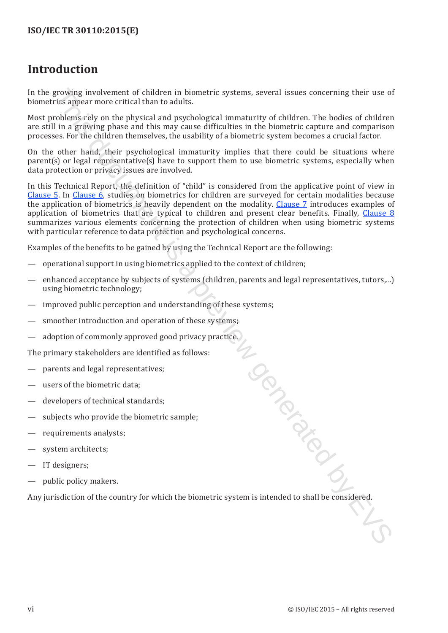### <span id="page-5-0"></span>**Introduction**

In the growing involvement of children in biometric systems, several issues concerning their use of biometrics appear more critical than to adults.

Most problems rely on the physical and psychological immaturity of children. The bodies of children are still in a growing phase and this may cause difficulties in the biometric capture and comparison processes. For the children themselves, the usability of a biometric system becomes a crucial factor.

On the other hand, their psychological immaturity implies that there could be situations where parent(s) or legal representative(s) have to support them to use biometric systems, especially when data protection or privacy issues are involved.

In this Technical Report, the definition of "child" is considered from the applicative point of view in [Clause 5.](#page--1-1) In Clause 6, studies on biometrics for children are surveyed for certain modalities because the application of biometrics is heavily dependent on the modality. Clause 7 introduces examples of application of biometrics that are typical to children and present clear benefits. Finally, Clause 8 summarizes various elements concerning the protection of children when using biometric systems with particular reference to data protection and psychological concerns. growing involvement of children in biometric systems, several issues concerning their use of<br>risk appear more critical than to adults.<br>This dogen that the physical and psychological immediative) of childrens The boulder of

Examples of the benefits to be gained by using the Technical Report are the following:

- operational support in using biometrics applied to the context of children;
- enhanced acceptance by subjects of systems (children, parents and legal representatives, tutors,...) using biometric technology;
- improved public perception and understanding of these systems;
- smoother introduction and operation of these systems;
- adoption of commonly approved good privacy practice.

The primary stakeholders are identified as follows:

- parents and legal representatives;
- users of the biometric data;
- developers of technical standards;
- subjects who provide the biometric sample:
- requirements analysts;
- system architects:
- IT designers;
- public policy makers.

Any jurisdiction of the country for which the biometric system is intended to shall be considered.